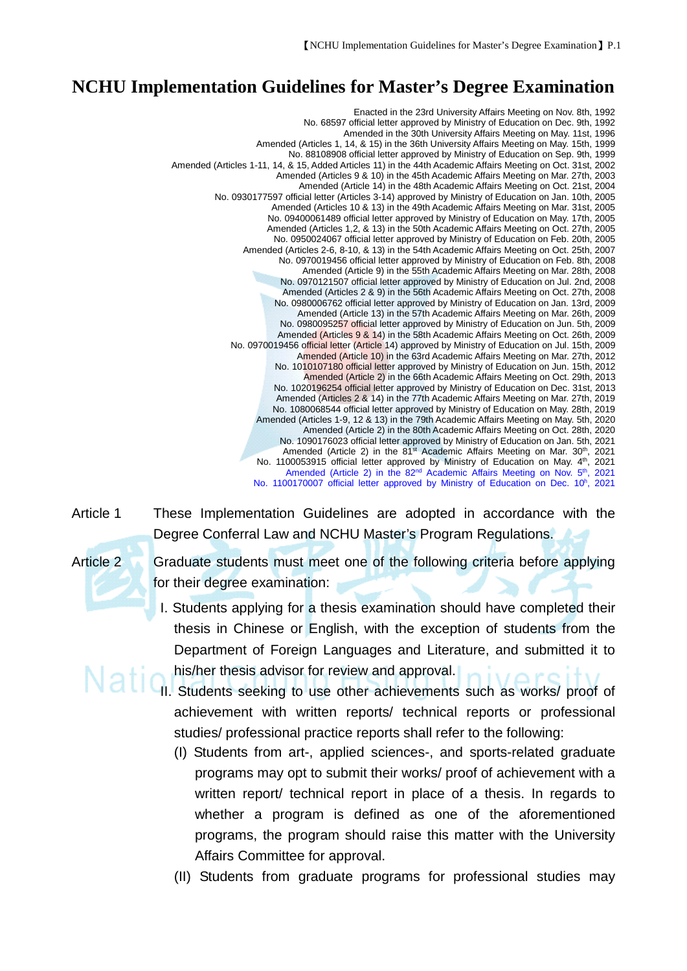## **NCHU Implementation Guidelines for Master's Degree Examination**

Enacted in the 23rd University Affairs Meeting on Nov. 8th, 1992 No. 68597 official letter approved by Ministry of Education on Dec. 9th, 1992 Amended in the 30th University Affairs Meeting on May. 11st, 1996 Amended (Articles 1, 14, & 15) in the 36th University Affairs Meeting on May. 15th, 1999 No. 88108908 official letter approved by Ministry of Education on Sep. 9th, 1999 Amended (Articles 1-11, 14, & 15, Added Articles 11) in the 44th Academic Affairs Meeting on Oct. 31st, 2002 Amended (Articles 9 & 10) in the 45th Academic Affairs Meeting on Mar. 27th, 2003 Amended (Article 14) in the 48th Academic Affairs Meeting on Oct. 21st, 2004 No. 0930177597 official letter (Articles 3-14) approved by Ministry of Education on Jan. 10th, 2005 Amended (Articles 10 & 13) in the 49th Academic Affairs Meeting on Mar. 31st, 2005 No. 09400061489 official letter approved by Ministry of Education on May. 17th, 2005 Amended (Articles 1,2, & 13) in the 50th Academic Affairs Meeting on Oct. 27th, 2005 No. 0950024067 official letter approved by Ministry of Education on Feb. 20th, 2005 Amended (Articles 2-6, 8-10, & 13) in the 54th Academic Affairs Meeting on Oct. 25th, 2007 No. 0970019456 official letter approved by Ministry of Education on Feb. 8th, 2008 Amended (Article 9) in the 55th Academic Affairs Meeting on Mar. 28th, 2008 No. 0970121507 official letter approved by Ministry of Education on Jul. 2nd, 2008 Amended (Articles 2 & 9) in the 56th Academic Affairs Meeting on Oct. 27th, 2008 No. 0980006762 official letter approved by Ministry of Education on Jan. 13rd, 2009 Amended (Article 13) in the 57th Academic Affairs Meeting on Mar. 26th, 2009 No. 0980095257 official letter approved by Ministry of Education on Jun. 5th, 2009 Amended (Articles 9 & 14) in the 58th Academic Affairs Meeting on Oct. 26th, 2009 No. 0970019456 official letter (Article 14) approved by Ministry of Education on Jul. 15th, 2009 Amended (Article 10) in the 63rd Academic Affairs Meeting on Mar. 27th, 2012 No. 1010107180 official letter approved by Ministry of Education on Jun. 15th, 2012 Amended (Article 2) in the 66th Academic Affairs Meeting on Oct. 29th, 2013 No. 1020196254 official letter approved by Ministry of Education on Dec. 31st, 2013 Amended (Articles 2 & 14) in the 77th Academic Affairs Meeting on Mar. 27th, 2019 No. 1080068544 official letter approved by Ministry of Education on May. 28th, 2019 Amended (Articles 1-9, 12 & 13) in the 79th Academic Affairs Meeting on May. 5th, 2020 Amended (Article 2) in the 80th Academic Affairs Meeting on Oct. 28th, 2020 No. 1090176023 official letter approved by Ministry of Education on Jan. 5th, 2021 Amended (Article 2) in the 81<sup>st</sup> Academic Affairs Meeting on Mar. 30<sup>th</sup>, 2021 No. 1100053915 official letter approved by Ministry of Education on May. 4<sup>th</sup>, 2021 Amended (Article 2) in the 82<sup>nd</sup> Academic Affairs Meeting on Nov. 5<sup>th</sup>, 2021 No. 1100170007 official letter approved by Ministry of Education on Dec. 10<sup>h</sup>, 2021



Article 1 These Implementation Guidelines are adopted in accordance with the Degree Conferral Law and NCHU Master's Program Regulations.

Article 2 Graduate students must meet one of the following criteria before applying for their degree examination:

- I. Students applying for a thesis examination should have completed their thesis in Chinese or English, with the exception of students from the Department of Foreign Languages and Literature, and submitted it to his/her thesis advisor for review and approval.
- **II.** Students seeking to use other achievements such as works/ proof of achievement with written reports/ technical reports or professional studies/ professional practice reports shall refer to the following:
	- (I) Students from art-, applied sciences-, and sports-related graduate programs may opt to submit their works/ proof of achievement with a written report/ technical report in place of a thesis. In regards to whether a program is defined as one of the aforementioned programs, the program should raise this matter with the University Affairs Committee for approval.
	- (II) Students from graduate programs for professional studies may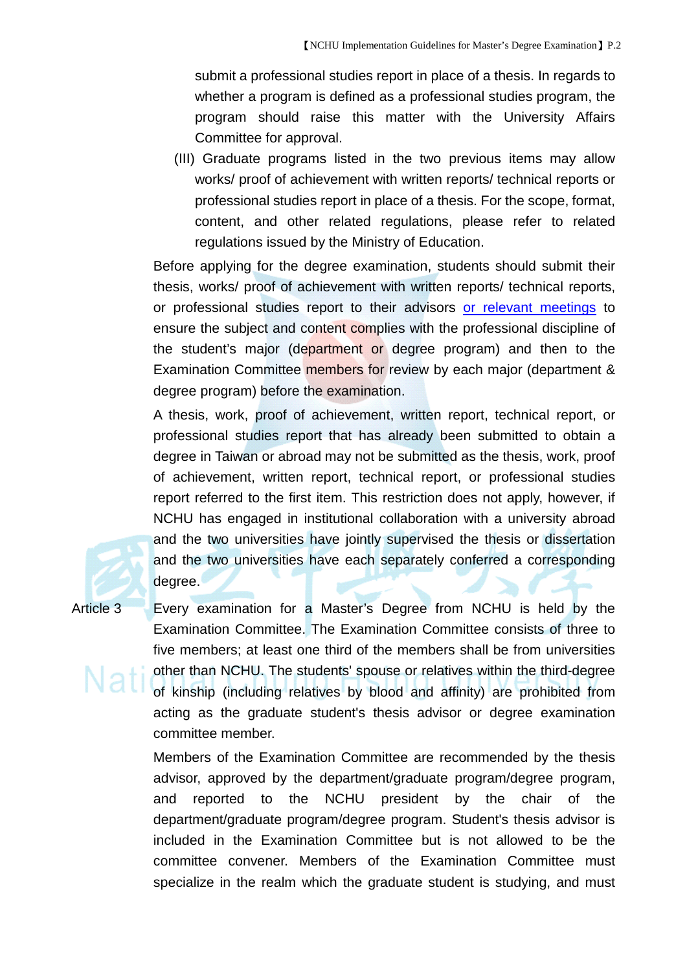submit a professional studies report in place of a thesis. In regards to whether a program is defined as a professional studies program, the program should raise this matter with the University Affairs Committee for approval.

(III) Graduate programs listed in the two previous items may allow works/ proof of achievement with written reports/ technical reports or professional studies report in place of a thesis. For the scope, format, content, and other related regulations, please refer to related regulations issued by the Ministry of Education.

Before applying for the degree examination, students should submit their thesis, works/ proof of achievement with written reports/ technical reports, or professional studies report to their advisors or relevant meetings to ensure the subject and content complies with the professional discipline of the student's major (department or degree program) and then to the Examination Committee members for review by each major (department & degree program) before the examination.

A thesis, work, proof of achievement, written report, technical report, or professional studies report that has already been submitted to obtain a degree in Taiwan or abroad may not be submitted as the thesis, work, proof of achievement, written report, technical report, or professional studies report referred to the first item. This restriction does not apply, however, if NCHU has engaged in institutional collaboration with a university abroad and the two universities have jointly supervised the thesis or dissertation and the two universities have each separately conferred a corresponding degree.

Article 3 Every examination for a Master's Degree from NCHU is held by the Examination Committee. The Examination Committee consists of three to five members; at least one third of the members shall be from universities other than NCHU. The students' spouse or relatives within the third-degree of kinship (including relatives by blood and affinity) are prohibited from acting as the graduate student's thesis advisor or degree examination committee member.

> Members of the Examination Committee are recommended by the thesis advisor, approved by the department/graduate program/degree program, and reported to the NCHU president by the chair of the department/graduate program/degree program. Student's thesis advisor is included in the Examination Committee but is not allowed to be the committee convener. Members of the Examination Committee must specialize in the realm which the graduate student is studying, and must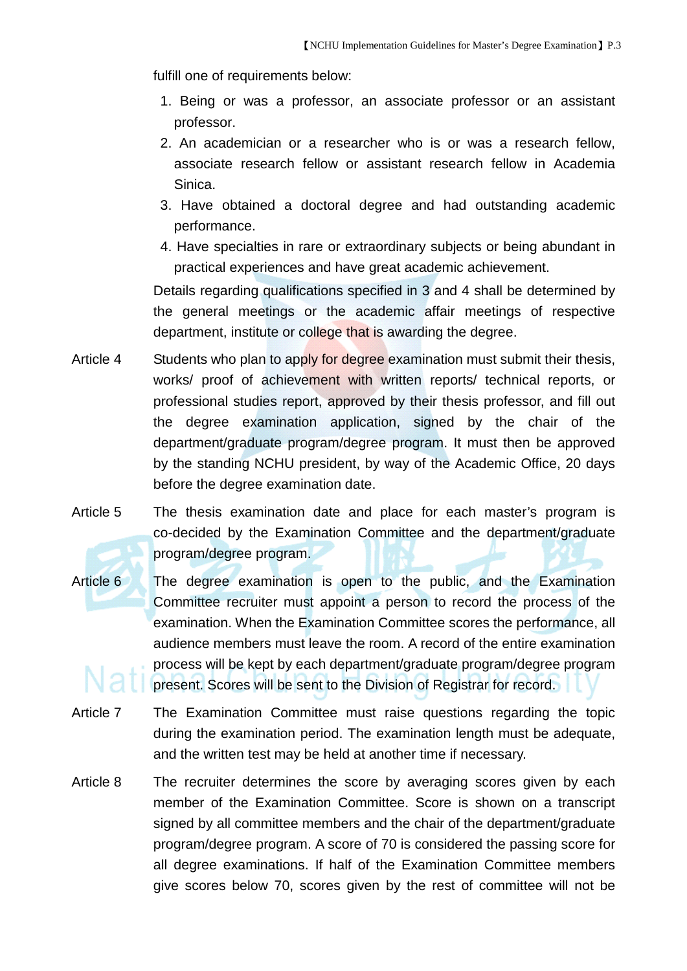fulfill one of requirements below:

- 1. Being or was a professor, an associate professor or an assistant professor.
- 2. An academician or a researcher who is or was a research fellow, associate research fellow or assistant research fellow in Academia Sinica.
- 3. Have obtained a doctoral degree and had outstanding academic performance.
- 4. Have specialties in rare or extraordinary subjects or being abundant in practical experiences and have great academic achievement.

Details regarding qualifications specified in 3 and 4 shall be determined by the general meetings or the academic affair meetings of respective department, institute or college that is awarding the degree.

- Article 4 Students who plan to apply for degree examination must submit their thesis, works/ proof of achievement with written reports/ technical reports, or professional studies report, approved by their thesis professor, and fill out the degree examination application, signed by the chair of the department/graduate program/degree program. It must then be approved by the standing NCHU president, by way of the Academic Office, 20 days before the degree examination date.
- Article 5 The thesis examination date and place for each master's program is co-decided by the Examination Committee and the department/graduate program/degree program.
- Article 6 The degree examination is open to the public, and the Examination Committee recruiter must appoint a person to record the process of the examination. When the Examination Committee scores the performance, all audience members must leave the room. A record of the entire examination process will be kept by each department/graduate program/degree program present. Scores will be sent to the Division of Registrar for record.
- Article 7 The Examination Committee must raise questions regarding the topic during the examination period. The examination length must be adequate, and the written test may be held at another time if necessary.
- Article 8 The recruiter determines the score by averaging scores given by each member of the Examination Committee. Score is shown on a transcript signed by all committee members and the chair of the department/graduate program/degree program. A score of 70 is considered the passing score for all degree examinations. If half of the Examination Committee members give scores below 70, scores given by the rest of committee will not be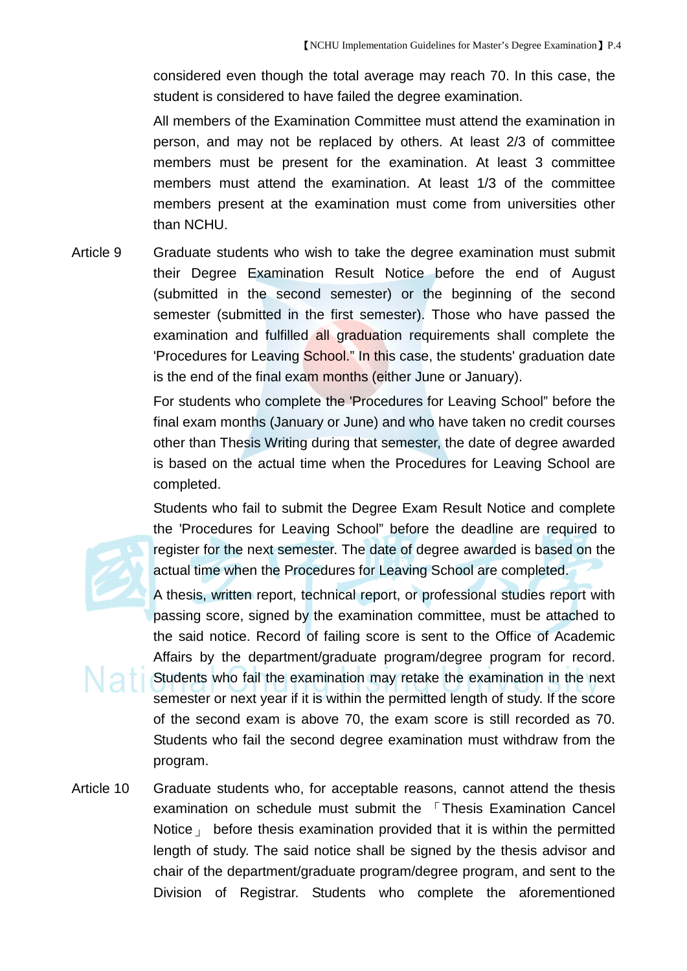considered even though the total average may reach 70. In this case, the student is considered to have failed the degree examination.

All members of the Examination Committee must attend the examination in person, and may not be replaced by others. At least 2/3 of committee members must be present for the examination. At least 3 committee members must attend the examination. At least 1/3 of the committee members present at the examination must come from universities other than NCHU.

Article 9 Graduate students who wish to take the degree examination must submit their Degree Examination Result Notice before the end of August (submitted in the second semester) or the beginning of the second semester (submitted in the first semester). Those who have passed the examination and fulfilled all graduation requirements shall complete the 'Procedures for Leaving School." In this case, the students' graduation date is the end of the final exam months (either June or January).

> For students who complete the 'Procedures for Leaving School" before the final exam months (January or June) and who have taken no credit courses other than Thesis Writing during that semester, the date of degree awarded is based on the actual time when the Procedures for Leaving School are completed.

> Students who fail to submit the Degree Exam Result Notice and complete the 'Procedures for Leaving School" before the deadline are required to register for the next semester. The date of degree awarded is based on the actual time when the Procedures for Leaving School are completed.

> A thesis, written report, technical report, or professional studies report with passing score, signed by the examination committee, must be attached to the said notice. Record of failing score is sent to the Office of Academic Affairs by the department/graduate program/degree program for record. Students who fail the examination may retake the examination in the next semester or next year if it is within the permitted length of study. If the score of the second exam is above 70, the exam score is still recorded as 70. Students who fail the second degree examination must withdraw from the program.

Article 10 Graduate students who, for acceptable reasons, cannot attend the thesis examination on schedule must submit the 「Thesis Examination Cancel Notice  $\mu$  before thesis examination provided that it is within the permitted length of study. The said notice shall be signed by the thesis advisor and chair of the department/graduate program/degree program, and sent to the Division of Registrar. Students who complete the aforementioned